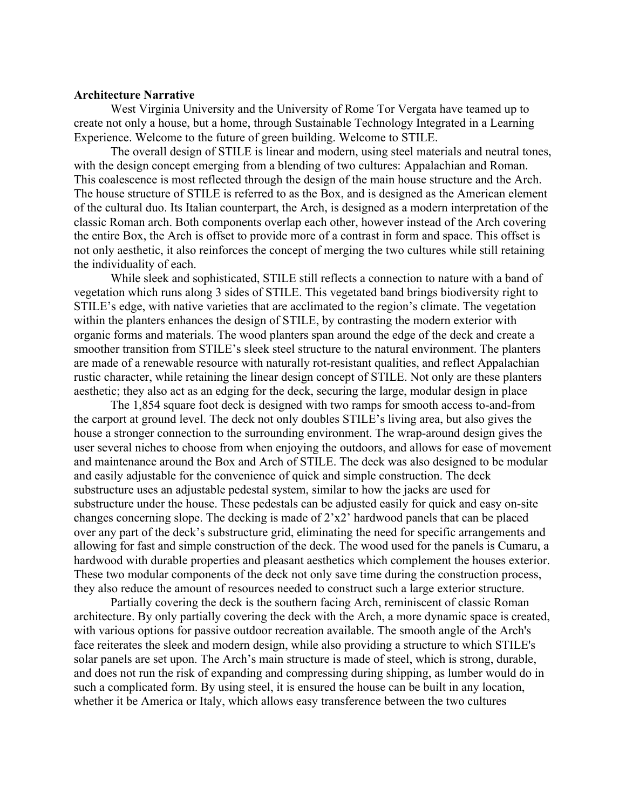## **Architecture Narrative**

West Virginia University and the University of Rome Tor Vergata have teamed up to create not only a house, but a home, through Sustainable Technology Integrated in a Learning Experience. Welcome to the future of green building. Welcome to STILE.

The overall design of STILE is linear and modern, using steel materials and neutral tones, with the design concept emerging from a blending of two cultures: Appalachian and Roman. This coalescence is most reflected through the design of the main house structure and the Arch. The house structure of STILE is referred to as the Box, and is designed as the American element of the cultural duo. Its Italian counterpart, the Arch, is designed as a modern interpretation of the classic Roman arch. Both components overlap each other, however instead of the Arch covering the entire Box, the Arch is offset to provide more of a contrast in form and space. This offset is not only aesthetic, it also reinforces the concept of merging the two cultures while still retaining the individuality of each.

While sleek and sophisticated, STILE still reflects a connection to nature with a band of vegetation which runs along 3 sides of STILE. This vegetated band brings biodiversity right to STILE's edge, with native varieties that are acclimated to the region's climate. The vegetation within the planters enhances the design of STILE, by contrasting the modern exterior with organic forms and materials. The wood planters span around the edge of the deck and create a smoother transition from STILE's sleek steel structure to the natural environment. The planters are made of a renewable resource with naturally rot-resistant qualities, and reflect Appalachian rustic character, while retaining the linear design concept of STILE. Not only are these planters aesthetic; they also act as an edging for the deck, securing the large, modular design in place

The 1,854 square foot deck is designed with two ramps for smooth access to-and-from the carport at ground level. The deck not only doubles STILE's living area, but also gives the house a stronger connection to the surrounding environment. The wrap-around design gives the user several niches to choose from when enjoying the outdoors, and allows for ease of movement and maintenance around the Box and Arch of STILE. The deck was also designed to be modular and easily adjustable for the convenience of quick and simple construction. The deck substructure uses an adjustable pedestal system, similar to how the jacks are used for substructure under the house. These pedestals can be adjusted easily for quick and easy on-site changes concerning slope. The decking is made of 2'x2' hardwood panels that can be placed over any part of the deck's substructure grid, eliminating the need for specific arrangements and allowing for fast and simple construction of the deck. The wood used for the panels is Cumaru, a hardwood with durable properties and pleasant aesthetics which complement the houses exterior. These two modular components of the deck not only save time during the construction process, they also reduce the amount of resources needed to construct such a large exterior structure.

Partially covering the deck is the southern facing Arch, reminiscent of classic Roman architecture. By only partially covering the deck with the Arch, a more dynamic space is created, with various options for passive outdoor recreation available. The smooth angle of the Arch's face reiterates the sleek and modern design, while also providing a structure to which STILE's solar panels are set upon. The Arch's main structure is made of steel, which is strong, durable, and does not run the risk of expanding and compressing during shipping, as lumber would do in such a complicated form. By using steel, it is ensured the house can be built in any location, whether it be America or Italy, which allows easy transference between the two cultures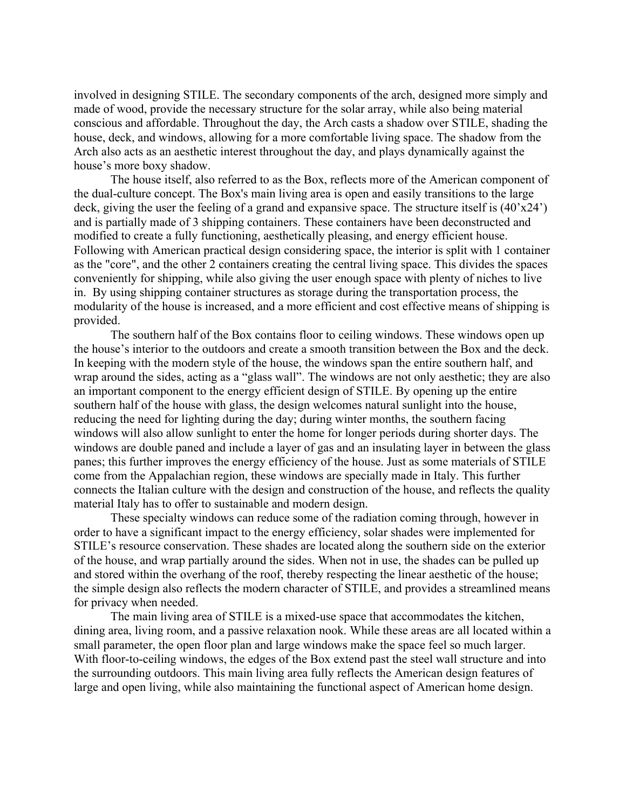involved in designing STILE. The secondary components of the arch, designed more simply and made of wood, provide the necessary structure for the solar array, while also being material conscious and affordable. Throughout the day, the Arch casts a shadow over STILE, shading the house, deck, and windows, allowing for a more comfortable living space. The shadow from the Arch also acts as an aesthetic interest throughout the day, and plays dynamically against the house's more boxy shadow.

The house itself, also referred to as the Box, reflects more of the American component of the dual-culture concept. The Box's main living area is open and easily transitions to the large deck, giving the user the feeling of a grand and expansive space. The structure itself is (40'x24') and is partially made of 3 shipping containers. These containers have been deconstructed and modified to create a fully functioning, aesthetically pleasing, and energy efficient house. Following with American practical design considering space, the interior is split with 1 container as the "core", and the other 2 containers creating the central living space. This divides the spaces conveniently for shipping, while also giving the user enough space with plenty of niches to live in. By using shipping container structures as storage during the transportation process, the modularity of the house is increased, and a more efficient and cost effective means of shipping is provided.

The southern half of the Box contains floor to ceiling windows. These windows open up the house's interior to the outdoors and create a smooth transition between the Box and the deck. In keeping with the modern style of the house, the windows span the entire southern half, and wrap around the sides, acting as a "glass wall". The windows are not only aesthetic; they are also an important component to the energy efficient design of STILE. By opening up the entire southern half of the house with glass, the design welcomes natural sunlight into the house, reducing the need for lighting during the day; during winter months, the southern facing windows will also allow sunlight to enter the home for longer periods during shorter days. The windows are double paned and include a layer of gas and an insulating layer in between the glass panes; this further improves the energy efficiency of the house. Just as some materials of STILE come from the Appalachian region, these windows are specially made in Italy. This further connects the Italian culture with the design and construction of the house, and reflects the quality material Italy has to offer to sustainable and modern design.

These specialty windows can reduce some of the radiation coming through, however in order to have a significant impact to the energy efficiency, solar shades were implemented for STILE's resource conservation. These shades are located along the southern side on the exterior of the house, and wrap partially around the sides. When not in use, the shades can be pulled up and stored within the overhang of the roof, thereby respecting the linear aesthetic of the house; the simple design also reflects the modern character of STILE, and provides a streamlined means for privacy when needed.

The main living area of STILE is a mixed-use space that accommodates the kitchen, dining area, living room, and a passive relaxation nook. While these areas are all located within a small parameter, the open floor plan and large windows make the space feel so much larger. With floor-to-ceiling windows, the edges of the Box extend past the steel wall structure and into the surrounding outdoors. This main living area fully reflects the American design features of large and open living, while also maintaining the functional aspect of American home design.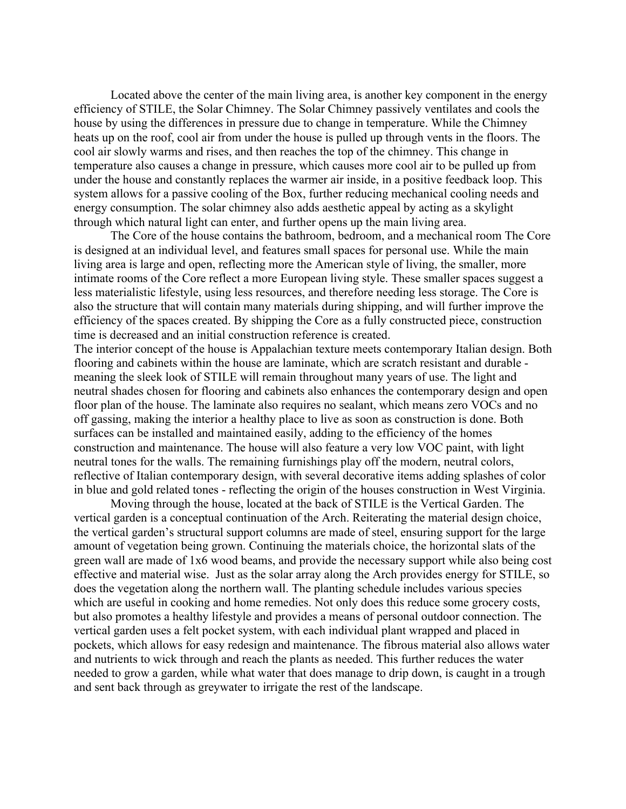Located above the center of the main living area, is another key component in the energy efficiency of STILE, the Solar Chimney. The Solar Chimney passively ventilates and cools the house by using the differences in pressure due to change in temperature. While the Chimney heats up on the roof, cool air from under the house is pulled up through vents in the floors. The cool air slowly warms and rises, and then reaches the top of the chimney. This change in temperature also causes a change in pressure, which causes more cool air to be pulled up from under the house and constantly replaces the warmer air inside, in a positive feedback loop. This system allows for a passive cooling of the Box, further reducing mechanical cooling needs and energy consumption. The solar chimney also adds aesthetic appeal by acting as a skylight through which natural light can enter, and further opens up the main living area.

The Core of the house contains the bathroom, bedroom, and a mechanical room The Core is designed at an individual level, and features small spaces for personal use. While the main living area is large and open, reflecting more the American style of living, the smaller, more intimate rooms of the Core reflect a more European living style. These smaller spaces suggest a less materialistic lifestyle, using less resources, and therefore needing less storage. The Core is also the structure that will contain many materials during shipping, and will further improve the efficiency of the spaces created. By shipping the Core as a fully constructed piece, construction time is decreased and an initial construction reference is created.

 flooring and cabinets within the house are laminate, which are scratch resistant and durable - in blue and gold related tones - reflecting the origin of the houses construction in West Virginia. The interior concept of the house is Appalachian texture meets contemporary Italian design. Both meaning the sleek look of STILE will remain throughout many years of use. The light and neutral shades chosen for flooring and cabinets also enhances the contemporary design and open floor plan of the house. The laminate also requires no sealant, which means zero VOCs and no off gassing, making the interior a healthy place to live as soon as construction is done. Both surfaces can be installed and maintained easily, adding to the efficiency of the homes construction and maintenance. The house will also feature a very low VOC paint, with light neutral tones for the walls. The remaining furnishings play off the modern, neutral colors, reflective of Italian contemporary design, with several decorative items adding splashes of color

Moving through the house, located at the back of STILE is the Vertical Garden. The vertical garden is a conceptual continuation of the Arch. Reiterating the material design choice, the vertical garden's structural support columns are made of steel, ensuring support for the large amount of vegetation being grown. Continuing the materials choice, the horizontal slats of the green wall are made of 1x6 wood beams, and provide the necessary support while also being cost effective and material wise. Just as the solar array along the Arch provides energy for STILE, so does the vegetation along the northern wall. The planting schedule includes various species which are useful in cooking and home remedies. Not only does this reduce some grocery costs, but also promotes a healthy lifestyle and provides a means of personal outdoor connection. The vertical garden uses a felt pocket system, with each individual plant wrapped and placed in pockets, which allows for easy redesign and maintenance. The fibrous material also allows water and nutrients to wick through and reach the plants as needed. This further reduces the water needed to grow a garden, while what water that does manage to drip down, is caught in a trough and sent back through as greywater to irrigate the rest of the landscape.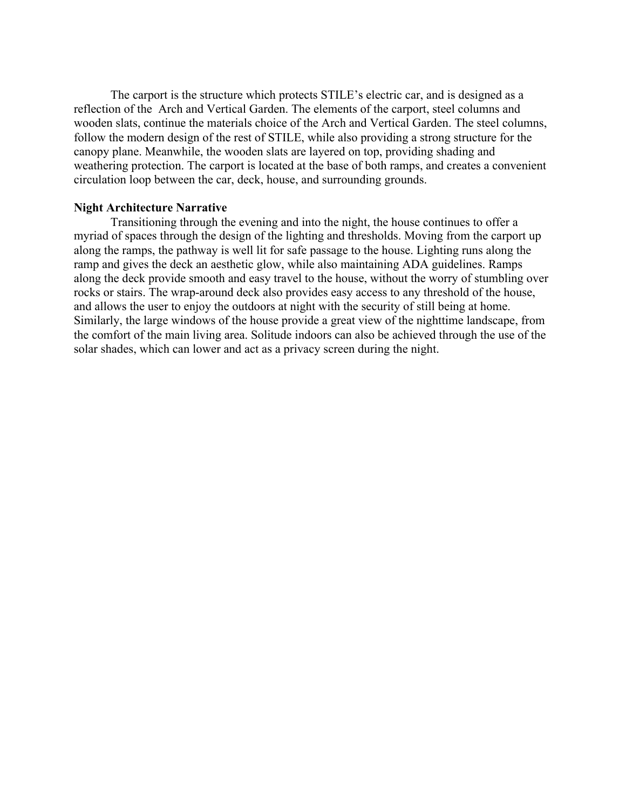The carport is the structure which protects STILE's electric car, and is designed as a reflection of the Arch and Vertical Garden. The elements of the carport, steel columns and wooden slats, continue the materials choice of the Arch and Vertical Garden. The steel columns, follow the modern design of the rest of STILE, while also providing a strong structure for the canopy plane. Meanwhile, the wooden slats are layered on top, providing shading and weathering protection. The carport is located at the base of both ramps, and creates a convenient circulation loop between the car, deck, house, and surrounding grounds.

# **Night Architecture Narrative**

Transitioning through the evening and into the night, the house continues to offer a myriad of spaces through the design of the lighting and thresholds. Moving from the carport up along the ramps, the pathway is well lit for safe passage to the house. Lighting runs along the ramp and gives the deck an aesthetic glow, while also maintaining ADA guidelines. Ramps along the deck provide smooth and easy travel to the house, without the worry of stumbling over rocks or stairs. The wrap-around deck also provides easy access to any threshold of the house, and allows the user to enjoy the outdoors at night with the security of still being at home. Similarly, the large windows of the house provide a great view of the nighttime landscape, from the comfort of the main living area. Solitude indoors can also be achieved through the use of the solar shades, which can lower and act as a privacy screen during the night.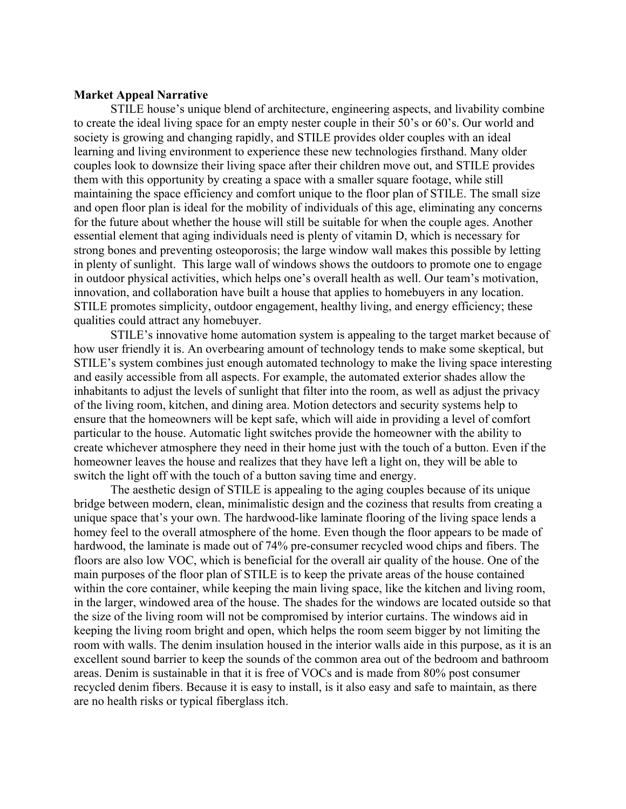# **Market Appeal Narrative**

STILE house's unique blend of architecture, engineering aspects, and livability combine to create the ideal living space for an empty nester couple in their 50's or 60's. Our world and society is growing and changing rapidly, and STILE provides older couples with an ideal learning and living environment to experience these new technologies firsthand. Many older couples look to downsize their living space after their children move out, and STILE provides them with this opportunity by creating a space with a smaller square footage, while still maintaining the space efficiency and comfort unique to the floor plan of STILE. The small size and open floor plan is ideal for the mobility of individuals of this age, eliminating any concerns for the future about whether the house will still be suitable for when the couple ages. Another essential element that aging individuals need is plenty of vitamin D, which is necessary for strong bones and preventing osteoporosis; the large window wall makes this possible by letting in plenty of sunlight. This large wall of windows shows the outdoors to promote one to engage in outdoor physical activities, which helps one's overall health as well. Our team's motivation, innovation, and collaboration have built a house that applies to homebuyers in any location. STILE promotes simplicity, outdoor engagement, healthy living, and energy efficiency; these qualities could attract any homebuyer.

STILE's innovative home automation system is appealing to the target market because of how user friendly it is. An overbearing amount of technology tends to make some skeptical, but STILE's system combines just enough automated technology to make the living space interesting and easily accessible from all aspects. For example, the automated exterior shades allow the inhabitants to adjust the levels of sunlight that filter into the room, as well as adjust the privacy of the living room, kitchen, and dining area. Motion detectors and security systems help to ensure that the homeowners will be kept safe, which will aide in providing a level of comfort particular to the house. Automatic light switches provide the homeowner with the ability to create whichever atmosphere they need in their home just with the touch of a button. Even if the homeowner leaves the house and realizes that they have left a light on, they will be able to switch the light off with the touch of a button saving time and energy.

The aesthetic design of STILE is appealing to the aging couples because of its unique bridge between modern, clean, minimalistic design and the coziness that results from creating a unique space that's your own. The hardwood-like laminate flooring of the living space lends a homey feel to the overall atmosphere of the home. Even though the floor appears to be made of hardwood, the laminate is made out of 74% pre-consumer recycled wood chips and fibers. The floors are also low VOC, which is beneficial for the overall air quality of the house. One of the main purposes of the floor plan of STILE is to keep the private areas of the house contained within the core container, while keeping the main living space, like the kitchen and living room, in the larger, windowed area of the house. The shades for the windows are located outside so that the size of the living room will not be compromised by interior curtains. The windows aid in keeping the living room bright and open, which helps the room seem bigger by not limiting the room with walls. The denim insulation housed in the interior walls aide in this purpose, as it is an excellent sound barrier to keep the sounds of the common area out of the bedroom and bathroom areas. Denim is sustainable in that it is free of VOCs and is made from 80% post consumer recycled denim fibers. Because it is easy to install, is it also easy and safe to maintain, as there are no health risks or typical fiberglass itch.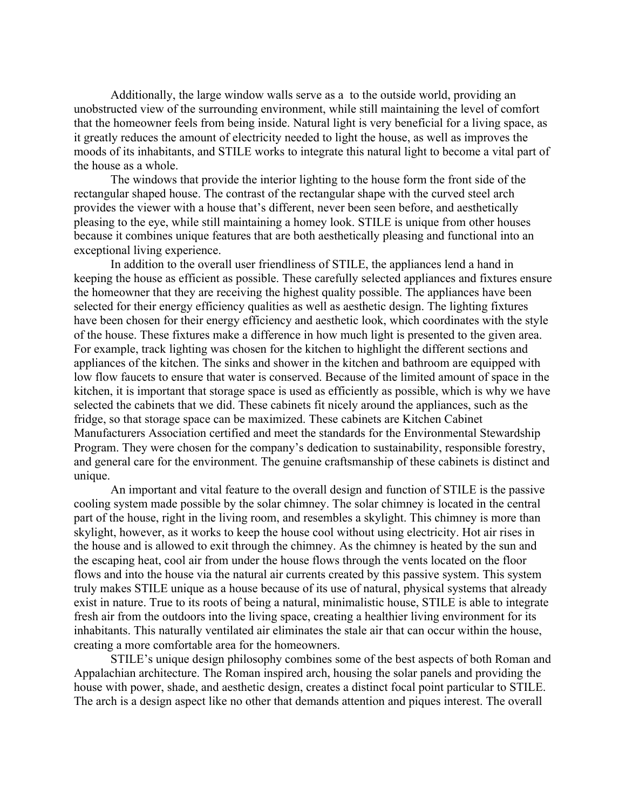moods of its inhabitants, and STILE works to integrate this natural light to become a vital part of Additionally, the large window walls serve as a to the outside world, providing an unobstructed view of the surrounding environment, while still maintaining the level of comfort that the homeowner feels from being inside. Natural light is very beneficial for a living space, as it greatly reduces the amount of electricity needed to light the house, as well as improves the the house as a whole.

The windows that provide the interior lighting to the house form the front side of the rectangular shaped house. The contrast of the rectangular shape with the curved steel arch provides the viewer with a house that's different, never been seen before, and aesthetically pleasing to the eye, while still maintaining a homey look. STILE is unique from other houses because it combines unique features that are both aesthetically pleasing and functional into an exceptional living experience.

In addition to the overall user friendliness of STILE, the appliances lend a hand in keeping the house as efficient as possible. These carefully selected appliances and fixtures ensure the homeowner that they are receiving the highest quality possible. The appliances have been selected for their energy efficiency qualities as well as aesthetic design. The lighting fixtures have been chosen for their energy efficiency and aesthetic look, which coordinates with the style of the house. These fixtures make a difference in how much light is presented to the given area. For example, track lighting was chosen for the kitchen to highlight the different sections and appliances of the kitchen. The sinks and shower in the kitchen and bathroom are equipped with low flow faucets to ensure that water is conserved. Because of the limited amount of space in the kitchen, it is important that storage space is used as efficiently as possible, which is why we have selected the cabinets that we did. These cabinets fit nicely around the appliances, such as the fridge, so that storage space can be maximized. These cabinets are Kitchen Cabinet Manufacturers Association certified and meet the standards for the Environmental Stewardship Program. They were chosen for the company's dedication to sustainability, responsible forestry, and general care for the environment. The genuine craftsmanship of these cabinets is distinct and unique.

 inhabitants. This naturally ventilated air eliminates the stale air that can occur within the house, An important and vital feature to the overall design and function of STILE is the passive cooling system made possible by the solar chimney. The solar chimney is located in the central part of the house, right in the living room, and resembles a skylight. This chimney is more than skylight, however, as it works to keep the house cool without using electricity. Hot air rises in the house and is allowed to exit through the chimney. As the chimney is heated by the sun and the escaping heat, cool air from under the house flows through the vents located on the floor flows and into the house via the natural air currents created by this passive system. This system truly makes STILE unique as a house because of its use of natural, physical systems that already exist in nature. True to its roots of being a natural, minimalistic house, STILE is able to integrate fresh air from the outdoors into the living space, creating a healthier living environment for its creating a more comfortable area for the homeowners.

STILE's unique design philosophy combines some of the best aspects of both Roman and Appalachian architecture. The Roman inspired arch, housing the solar panels and providing the house with power, shade, and aesthetic design, creates a distinct focal point particular to STILE. The arch is a design aspect like no other that demands attention and piques interest. The overall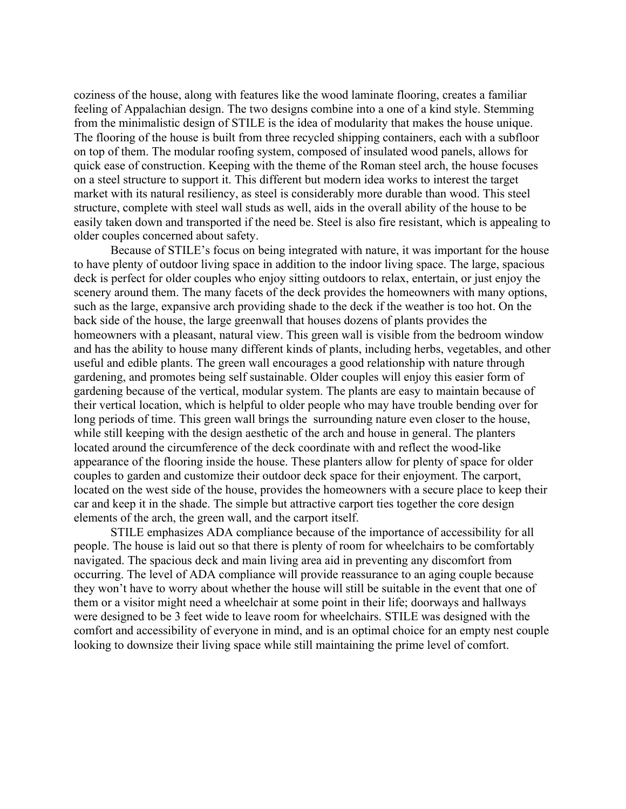coziness of the house, along with features like the wood laminate flooring, creates a familiar feeling of Appalachian design. The two designs combine into a one of a kind style. Stemming from the minimalistic design of STILE is the idea of modularity that makes the house unique. The flooring of the house is built from three recycled shipping containers, each with a subfloor on top of them. The modular roofing system, composed of insulated wood panels, allows for quick ease of construction. Keeping with the theme of the Roman steel arch, the house focuses on a steel structure to support it. This different but modern idea works to interest the target market with its natural resiliency, as steel is considerably more durable than wood. This steel structure, complete with steel wall studs as well, aids in the overall ability of the house to be easily taken down and transported if the need be. Steel is also fire resistant, which is appealing to older couples concerned about safety.

 gardening, and promotes being self sustainable. Older couples will enjoy this easier form of Because of STILE's focus on being integrated with nature, it was important for the house to have plenty of outdoor living space in addition to the indoor living space. The large, spacious deck is perfect for older couples who enjoy sitting outdoors to relax, entertain, or just enjoy the scenery around them. The many facets of the deck provides the homeowners with many options, such as the large, expansive arch providing shade to the deck if the weather is too hot. On the back side of the house, the large greenwall that houses dozens of plants provides the homeowners with a pleasant, natural view. This green wall is visible from the bedroom window and has the ability to house many different kinds of plants, including herbs, vegetables, and other useful and edible plants. The green wall encourages a good relationship with nature through gardening because of the vertical, modular system. The plants are easy to maintain because of their vertical location, which is helpful to older people who may have trouble bending over for long periods of time. This green wall brings the surrounding nature even closer to the house, while still keeping with the design aesthetic of the arch and house in general. The planters located around the circumference of the deck coordinate with and reflect the wood-like appearance of the flooring inside the house. These planters allow for plenty of space for older couples to garden and customize their outdoor deck space for their enjoyment. The carport, located on the west side of the house, provides the homeowners with a secure place to keep their car and keep it in the shade. The simple but attractive carport ties together the core design elements of the arch, the green wall, and the carport itself.

STILE emphasizes ADA compliance because of the importance of accessibility for all people. The house is laid out so that there is plenty of room for wheelchairs to be comfortably navigated. The spacious deck and main living area aid in preventing any discomfort from occurring. The level of ADA compliance will provide reassurance to an aging couple because they won't have to worry about whether the house will still be suitable in the event that one of them or a visitor might need a wheelchair at some point in their life; doorways and hallways were designed to be 3 feet wide to leave room for wheelchairs. STILE was designed with the comfort and accessibility of everyone in mind, and is an optimal choice for an empty nest couple looking to downsize their living space while still maintaining the prime level of comfort.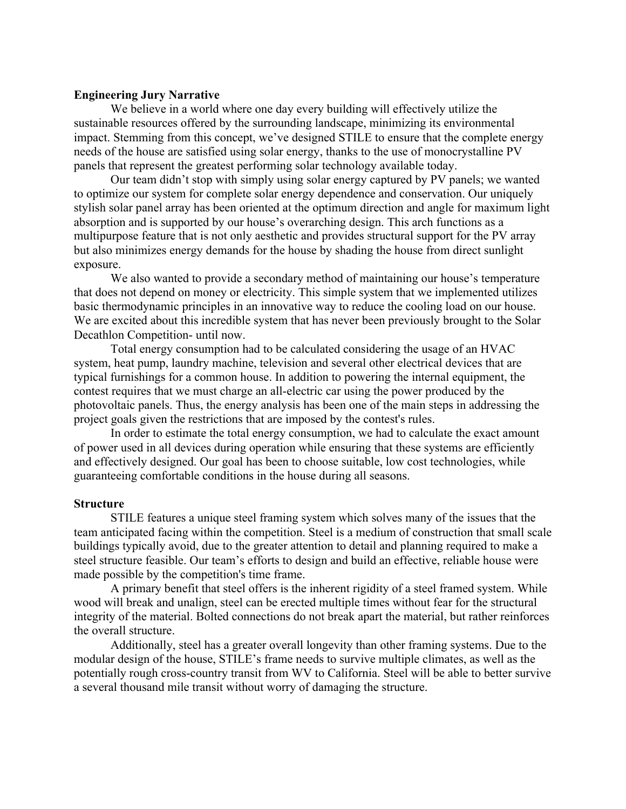# **Engineering Jury Narrative**

We believe in a world where one day every building will effectively utilize the sustainable resources offered by the surrounding landscape, minimizing its environmental impact. Stemming from this concept, we've designed STILE to ensure that the complete energy needs of the house are satisfied using solar energy, thanks to the use of monocrystalline PV panels that represent the greatest performing solar technology available today.

Our team didn't stop with simply using solar energy captured by PV panels; we wanted to optimize our system for complete solar energy dependence and conservation. Our uniquely stylish solar panel array has been oriented at the optimum direction and angle for maximum light absorption and is supported by our house's overarching design. This arch functions as a multipurpose feature that is not only aesthetic and provides structural support for the PV array but also minimizes energy demands for the house by shading the house from direct sunlight exposure.

 Decathlon Competition- until now. We also wanted to provide a secondary method of maintaining our house's temperature that does not depend on money or electricity. This simple system that we implemented utilizes basic thermodynamic principles in an innovative way to reduce the cooling load on our house. We are excited about this incredible system that has never been previously brought to the Solar

 system, heat pump, laundry machine, television and several other electrical devices that are Total energy consumption had to be calculated considering the usage of an HVAC typical furnishings for a common house. In addition to powering the internal equipment, the contest requires that we must charge an all-electric car using the power produced by the photovoltaic panels. Thus, the energy analysis has been one of the main steps in addressing the project goals given the restrictions that are imposed by the contest's rules.

In order to estimate the total energy consumption, we had to calculate the exact amount of power used in all devices during operation while ensuring that these systems are efficiently and effectively designed. Our goal has been to choose suitable, low cost technologies, while guaranteeing comfortable conditions in the house during all seasons.

#### **Structure**

STILE features a unique steel framing system which solves many of the issues that the team anticipated facing within the competition. Steel is a medium of construction that small scale buildings typically avoid, due to the greater attention to detail and planning required to make a steel structure feasible. Our team's efforts to design and build an effective, reliable house were made possible by the competition's time frame.

A primary benefit that steel offers is the inherent rigidity of a steel framed system. While wood will break and unalign, steel can be erected multiple times without fear for the structural integrity of the material. Bolted connections do not break apart the material, but rather reinforces the overall structure.

Additionally, steel has a greater overall longevity than other framing systems. Due to the modular design of the house, STILE's frame needs to survive multiple climates, as well as the potentially rough cross-country transit from WV to California. Steel will be able to better survive a several thousand mile transit without worry of damaging the structure.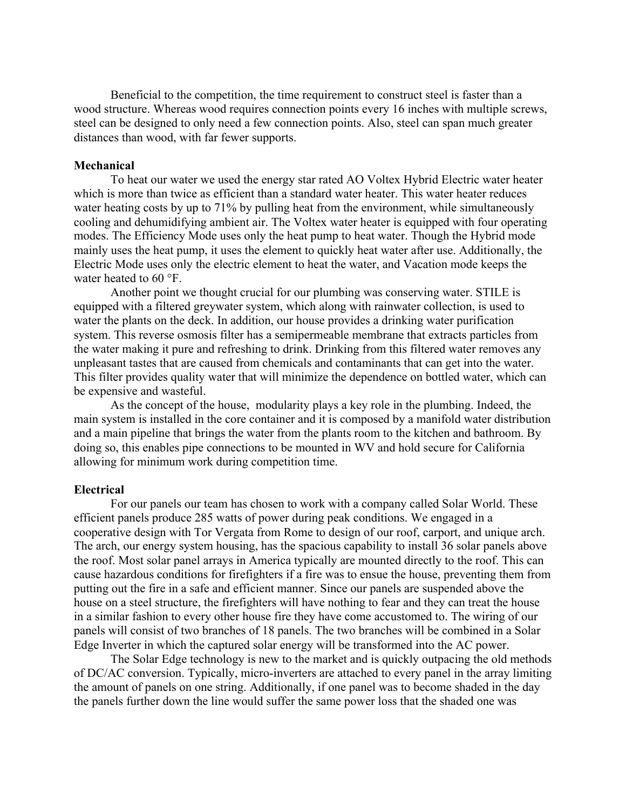Beneficial to the competition, the time requirement to construct steel is faster than a wood structure. Whereas wood requires connection points every 16 inches with multiple screws, steel can be designed to only need a few connection points. Also, steel can span much greater distances than wood, with far fewer supports.

## **Mechanical**

 water heated to 60 °F. To heat our water we used the energy star rated AO Voltex Hybrid Electric water heater which is more than twice as efficient than a standard water heater. This water heater reduces water heating costs by up to 71% by pulling heat from the environment, while simultaneously cooling and dehumidifying ambient air. The Voltex water heater is equipped with four operating modes. The Efficiency Mode uses only the heat pump to heat water. Though the Hybrid mode mainly uses the heat pump, it uses the element to quickly heat water after use. Additionally, the Electric Mode uses only the electric element to heat the water, and Vacation mode keeps the

Another point we thought crucial for our plumbing was conserving water. STILE is equipped with a filtered greywater system, which along with rainwater collection, is used to water the plants on the deck. In addition, our house provides a drinking water purification system. This reverse osmosis filter has a semipermeable membrane that extracts particles from the water making it pure and refreshing to drink. Drinking from this filtered water removes any unpleasant tastes that are caused from chemicals and contaminants that can get into the water. This filter provides quality water that will minimize the dependence on bottled water, which can be expensive and wasteful.

 As the concept of the house, modularity plays a key role in the plumbing. Indeed, the main system is installed in the core container and it is composed by a manifold water distribution and a main pipeline that brings the water from the plants room to the kitchen and bathroom. By doing so, this enables pipe connections to be mounted in WV and hold secure for California allowing for minimum work during competition time.

#### **Electrical**

For our panels our team has chosen to work with a company called Solar World. These efficient panels produce 285 watts of power during peak conditions. We engaged in a cooperative design with Tor Vergata from Rome to design of our roof, carport, and unique arch. The arch, our energy system housing, has the spacious capability to install 36 solar panels above the roof. Most solar panel arrays in America typically are mounted directly to the roof. This can cause hazardous conditions for firefighters if a fire was to ensue the house, preventing them from putting out the fire in a safe and efficient manner. Since our panels are suspended above the house on a steel structure, the firefighters will have nothing to fear and they can treat the house in a similar fashion to every other house fire they have come accustomed to. The wiring of our panels will consist of two branches of 18 panels. The two branches will be combined in a Solar Edge Inverter in which the captured solar energy will be transformed into the AC power.

The Solar Edge technology is new to the market and is quickly outpacing the old methods of DC/AC conversion. Typically, micro-inverters are attached to every panel in the array limiting the amount of panels on one string. Additionally, if one panel was to become shaded in the day the panels further down the line would suffer the same power loss that the shaded one was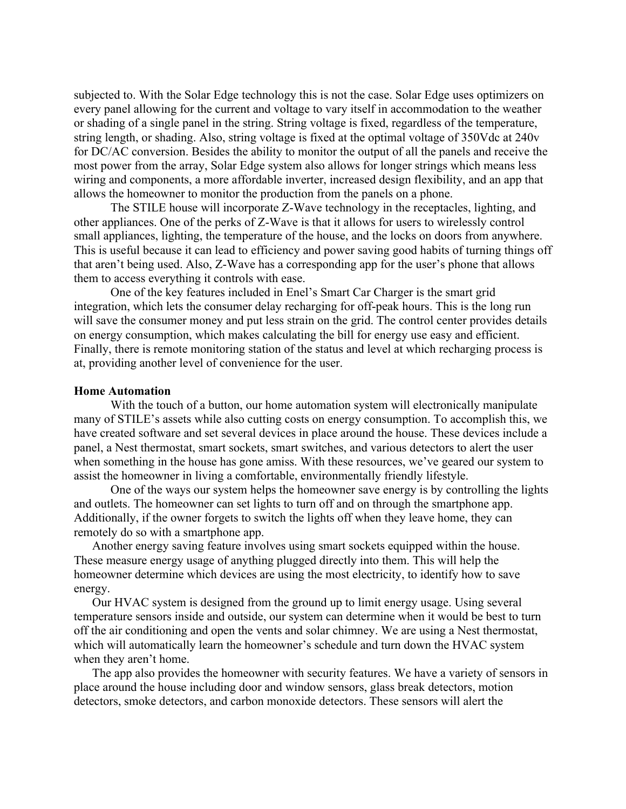subjected to. With the Solar Edge technology this is not the case. Solar Edge uses optimizers on every panel allowing for the current and voltage to vary itself in accommodation to the weather or shading of a single panel in the string. String voltage is fixed, regardless of the temperature, string length, or shading. Also, string voltage is fixed at the optimal voltage of 350Vdc at 240v for DC/AC conversion. Besides the ability to monitor the output of all the panels and receive the most power from the array, Solar Edge system also allows for longer strings which means less wiring and components, a more affordable inverter, increased design flexibility, and an app that allows the homeowner to monitor the production from the panels on a phone.

The STILE house will incorporate Z-Wave technology in the receptacles, lighting, and other appliances. One of the perks of Z-Wave is that it allows for users to wirelessly control small appliances, lighting, the temperature of the house, and the locks on doors from anywhere. This is useful because it can lead to efficiency and power saving good habits of turning things off that aren't being used. Also, Z-Wave has a corresponding app for the user's phone that allows them to access everything it controls with ease.

One of the key features included in Enel's Smart Car Charger is the smart grid integration, which lets the consumer delay recharging for off-peak hours. This is the long run will save the consumer money and put less strain on the grid. The control center provides details on energy consumption, which makes calculating the bill for energy use easy and efficient. Finally, there is remote monitoring station of the status and level at which recharging process is at, providing another level of convenience for the user.

#### **Home Automation**

With the touch of a button, our home automation system will electronically manipulate many of STILE's assets while also cutting costs on energy consumption. To accomplish this, we have created software and set several devices in place around the house. These devices include a panel, a Nest thermostat, smart sockets, smart switches, and various detectors to alert the user when something in the house has gone amiss. With these resources, we've geared our system to assist the homeowner in living a comfortable, environmentally friendly lifestyle.

One of the ways our system helps the homeowner save energy is by controlling the lights and outlets. The homeowner can set lights to turn off and on through the smartphone app. Additionally, if the owner forgets to switch the lights off when they leave home, they can remotely do so with a smartphone app.

Another energy saving feature involves using smart sockets equipped within the house. These measure energy usage of anything plugged directly into them. This will help the homeowner determine which devices are using the most electricity, to identify how to save energy.

Our HVAC system is designed from the ground up to limit energy usage. Using several temperature sensors inside and outside, our system can determine when it would be best to turn off the air conditioning and open the vents and solar chimney. We are using a Nest thermostat, which will automatically learn the homeowner's schedule and turn down the HVAC system when they aren't home.

The app also provides the homeowner with security features. We have a variety of sensors in place around the house including door and window sensors, glass break detectors, motion detectors, smoke detectors, and carbon monoxide detectors. These sensors will alert the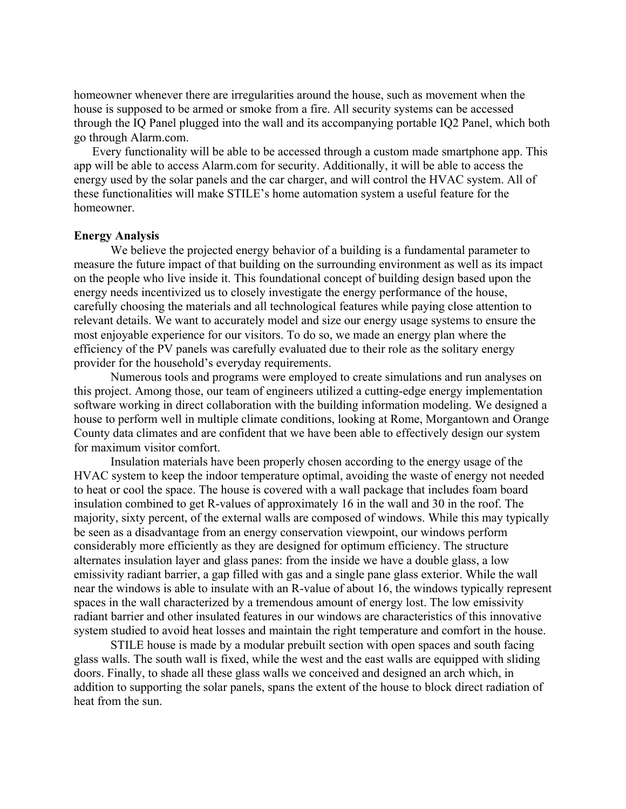homeowner whenever there are irregularities around the house, such as movement when the house is supposed to be armed or smoke from a fire. All security systems can be accessed through the IQ Panel plugged into the wall and its accompanying portable IQ2 Panel, which both go through Alarm.com.

Every functionality will be able to be accessed through a custom made smartphone app. This app will be able to access Alarm.com for security. Additionally, it will be able to access the energy used by the solar panels and the car charger, and will control the HVAC system. All of these functionalities will make STILE's home automation system a useful feature for the homeowner.

# **Energy Analysis**

 energy needs incentivized us to closely investigate the energy performance of the house, We believe the projected energy behavior of a building is a fundamental parameter to measure the future impact of that building on the surrounding environment as well as its impact on the people who live inside it. This foundational concept of building design based upon the carefully choosing the materials and all technological features while paying close attention to relevant details. We want to accurately model and size our energy usage systems to ensure the most enjoyable experience for our visitors. To do so, we made an energy plan where the efficiency of the PV panels was carefully evaluated due to their role as the solitary energy provider for the household's everyday requirements.

Numerous tools and programs were employed to create simulations and run analyses on this project. Among those, our team of engineers utilized a cutting-edge energy implementation software working in direct collaboration with the building information modeling. We designed a house to perform well in multiple climate conditions, looking at Rome, Morgantown and Orange County data climates and are confident that we have been able to effectively design our system for maximum visitor comfort.

 radiant barrier and other insulated features in our windows are characteristics of this innovative Insulation materials have been properly chosen according to the energy usage of the HVAC system to keep the indoor temperature optimal, avoiding the waste of energy not needed to heat or cool the space. The house is covered with a wall package that includes foam board insulation combined to get R-values of approximately 16 in the wall and 30 in the roof. The majority, sixty percent, of the external walls are composed of windows. While this may typically be seen as a disadvantage from an energy conservation viewpoint, our windows perform considerably more efficiently as they are designed for optimum efficiency. The structure alternates insulation layer and glass panes: from the inside we have a double glass, a low emissivity radiant barrier, a gap filled with gas and a single pane glass exterior. While the wall near the windows is able to insulate with an R-value of about 16, the windows typically represent spaces in the wall characterized by a tremendous amount of energy lost. The low emissivity system studied to avoid heat losses and maintain the right temperature and comfort in the house.

STILE house is made by a modular prebuilt section with open spaces and south facing glass walls. The south wall is fixed, while the west and the east walls are equipped with sliding doors. Finally, to shade all these glass walls we conceived and designed an arch which, in addition to supporting the solar panels, spans the extent of the house to block direct radiation of heat from the sun.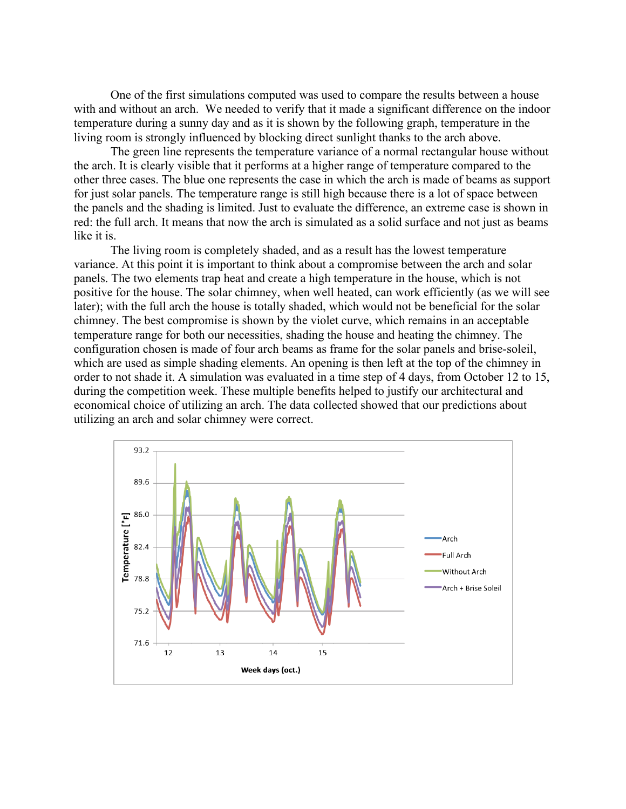One of the first simulations computed was used to compare the results between a house with and without an arch. We needed to verify that it made a significant difference on the indoor temperature during a sunny day and as it is shown by the following graph, temperature in the living room is strongly influenced by blocking direct sunlight thanks to the arch above.

The green line represents the temperature variance of a normal rectangular house without the arch. It is clearly visible that it performs at a higher range of temperature compared to the other three cases. The blue one represents the case in which the arch is made of beams as support for just solar panels. The temperature range is still high because there is a lot of space between the panels and the shading is limited. Just to evaluate the difference, an extreme case is shown in red: the full arch. It means that now the arch is simulated as a solid surface and not just as beams like it is.

The living room is completely shaded, and as a result has the lowest temperature variance. At this point it is important to think about a compromise between the arch and solar panels. The two elements trap heat and create a high temperature in the house, which is not positive for the house. The solar chimney, when well heated, can work efficiently (as we will see later); with the full arch the house is totally shaded, which would not be beneficial for the solar chimney. The best compromise is shown by the violet curve, which remains in an acceptable temperature range for both our necessities, shading the house and heating the chimney. The configuration chosen is made of four arch beams as frame for the solar panels and brise-soleil, which are used as simple shading elements. An opening is then left at the top of the chimney in order to not shade it. A simulation was evaluated in a time step of 4 days, from October 12 to 15, during the competition week. These multiple benefits helped to justify our architectural and economical choice of utilizing an arch. The data collected showed that our predictions about utilizing an arch and solar chimney were correct.

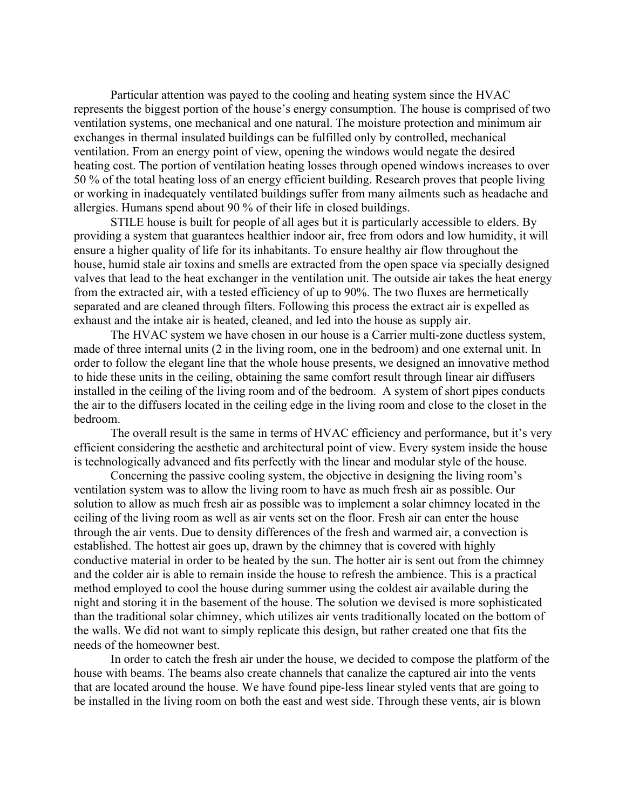Particular attention was payed to the cooling and heating system since the HVAC represents the biggest portion of the house's energy consumption. The house is comprised of two ventilation systems, one mechanical and one natural. The moisture protection and minimum air exchanges in thermal insulated buildings can be fulfilled only by controlled, mechanical ventilation. From an energy point of view, opening the windows would negate the desired heating cost. The portion of ventilation heating losses through opened windows increases to over 50 % of the total heating loss of an energy efficient building. Research proves that people living or working in inadequately ventilated buildings suffer from many ailments such as headache and allergies. Humans spend about 90 % of their life in closed buildings.

STILE house is built for people of all ages but it is particularly accessible to elders. By providing a system that guarantees healthier indoor air, free from odors and low humidity, it will ensure a higher quality of life for its inhabitants. To ensure healthy air flow throughout the house, humid stale air toxins and smells are extracted from the open space via specially designed valves that lead to the heat exchanger in the ventilation unit. The outside air takes the heat energy from the extracted air, with a tested efficiency of up to 90%. The two fluxes are hermetically separated and are cleaned through filters. Following this process the extract air is expelled as exhaust and the intake air is heated, cleaned, and led into the house as supply air.

The HVAC system we have chosen in our house is a Carrier multi-zone ductless system, made of three internal units (2 in the living room, one in the bedroom) and one external unit. In order to follow the elegant line that the whole house presents, we designed an innovative method to hide these units in the ceiling, obtaining the same comfort result through linear air diffusers installed in the ceiling of the living room and of the bedroom. A system of short pipes conducts the air to the diffusers located in the ceiling edge in the living room and close to the closet in the bedroom.

 The overall result is the same in terms of HVAC efficiency and performance, but it's very efficient considering the aesthetic and architectural point of view. Every system inside the house is technologically advanced and fits perfectly with the linear and modular style of the house.

 the walls. We did not want to simply replicate this design, but rather created one that fits the Concerning the passive cooling system, the objective in designing the living room's ventilation system was to allow the living room to have as much fresh air as possible. Our solution to allow as much fresh air as possible was to implement a solar chimney located in the ceiling of the living room as well as air vents set on the floor. Fresh air can enter the house through the air vents. Due to density differences of the fresh and warmed air, a convection is established. The hottest air goes up, drawn by the chimney that is covered with highly conductive material in order to be heated by the sun. The hotter air is sent out from the chimney and the colder air is able to remain inside the house to refresh the ambience. This is a practical method employed to cool the house during summer using the coldest air available during the night and storing it in the basement of the house. The solution we devised is more sophisticated than the traditional solar chimney, which utilizes air vents traditionally located on the bottom of needs of the homeowner best.

In order to catch the fresh air under the house, we decided to compose the platform of the house with beams. The beams also create channels that canalize the captured air into the vents that are located around the house. We have found pipe-less linear styled vents that are going to be installed in the living room on both the east and west side. Through these vents, air is blown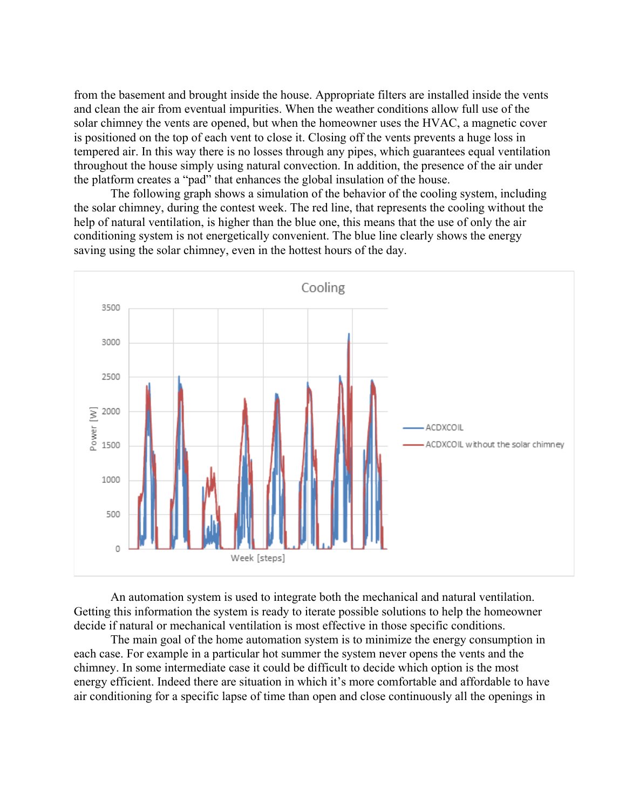from the basement and brought inside the house. Appropriate filters are installed inside the vents and clean the air from eventual impurities. When the weather conditions allow full use of the solar chimney the vents are opened, but when the homeowner uses the HVAC, a magnetic cover is positioned on the top of each vent to close it. Closing off the vents prevents a huge loss in tempered air. In this way there is no losses through any pipes, which guarantees equal ventilation throughout the house simply using natural convection. In addition, the presence of the air under the platform creates a "pad" that enhances the global insulation of the house.

The following graph shows a simulation of the behavior of the cooling system, including the solar chimney, during the contest week. The red line, that represents the cooling without the help of natural ventilation, is higher than the blue one, this means that the use of only the air conditioning system is not energetically convenient. The blue line clearly shows the energy saving using the solar chimney, even in the hottest hours of the day.



An automation system is used to integrate both the mechanical and natural ventilation. Getting this information the system is ready to iterate possible solutions to help the homeowner decide if natural or mechanical ventilation is most effective in those specific conditions.

The main goal of the home automation system is to minimize the energy consumption in each case. For example in a particular hot summer the system never opens the vents and the chimney. In some intermediate case it could be difficult to decide which option is the most energy efficient. Indeed there are situation in which it's more comfortable and affordable to have air conditioning for a specific lapse of time than open and close continuously all the openings in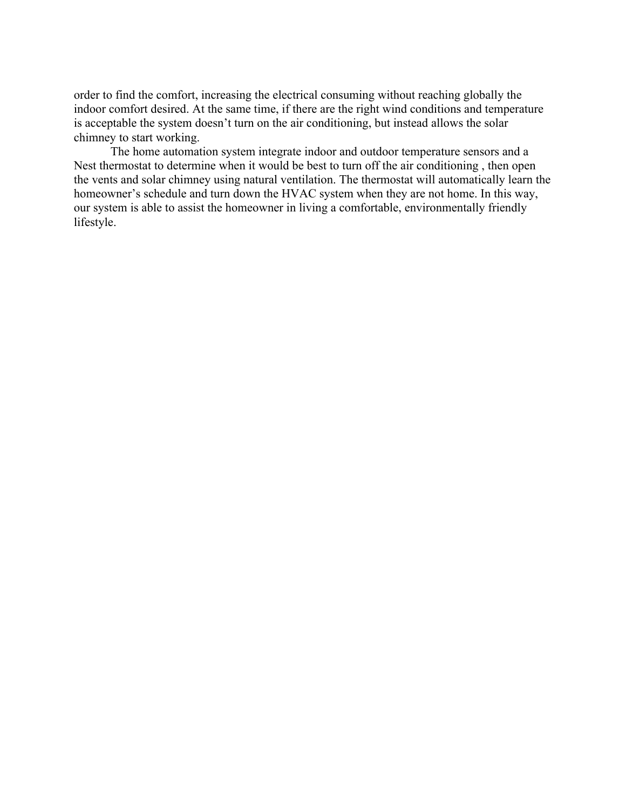order to find the comfort, increasing the electrical consuming without reaching globally the indoor comfort desired. At the same time, if there are the right wind conditions and temperature is acceptable the system doesn't turn on the air conditioning, but instead allows the solar chimney to start working.

The home automation system integrate indoor and outdoor temperature sensors and a Nest thermostat to determine when it would be best to turn off the air conditioning , then open the vents and solar chimney using natural ventilation. The thermostat will automatically learn the homeowner's schedule and turn down the HVAC system when they are not home. In this way, our system is able to assist the homeowner in living a comfortable, environmentally friendly lifestyle.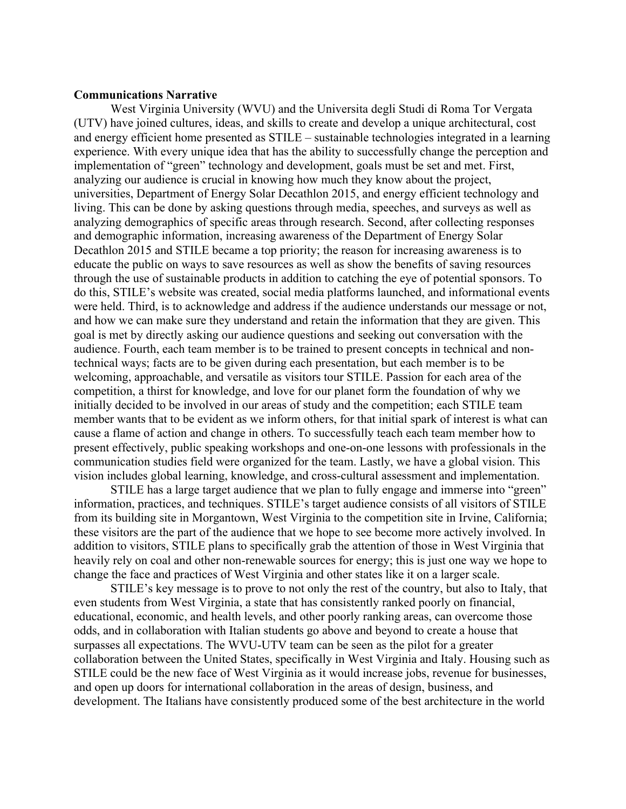# **Communications Narrative**

 and energy efficient home presented as STILE – sustainable technologies integrated in a learning do this, STILE's website was created, social media platforms launched, and informational events West Virginia University (WVU) and the Universita degli Studi di Roma Tor Vergata (UTV) have joined cultures, ideas, and skills to create and develop a unique architectural, cost experience. With every unique idea that has the ability to successfully change the perception and implementation of "green" technology and development, goals must be set and met. First, analyzing our audience is crucial in knowing how much they know about the project, universities, Department of Energy Solar Decathlon 2015, and energy efficient technology and living. This can be done by asking questions through media, speeches, and surveys as well as analyzing demographics of specific areas through research. Second, after collecting responses and demographic information, increasing awareness of the Department of Energy Solar Decathlon 2015 and STILE became a top priority; the reason for increasing awareness is to educate the public on ways to save resources as well as show the benefits of saving resources through the use of sustainable products in addition to catching the eye of potential sponsors. To were held. Third, is to acknowledge and address if the audience understands our message or not, and how we can make sure they understand and retain the information that they are given. This goal is met by directly asking our audience questions and seeking out conversation with the audience. Fourth, each team member is to be trained to present concepts in technical and nontechnical ways; facts are to be given during each presentation, but each member is to be welcoming, approachable, and versatile as visitors tour STILE. Passion for each area of the competition, a thirst for knowledge, and love for our planet form the foundation of why we initially decided to be involved in our areas of study and the competition; each STILE team member wants that to be evident as we inform others, for that initial spark of interest is what can cause a flame of action and change in others. To successfully teach each team member how to present effectively, public speaking workshops and one-on-one lessons with professionals in the communication studies field were organized for the team. Lastly, we have a global vision. This vision includes global learning, knowledge, and cross-cultural assessment and implementation.

STILE has a large target audience that we plan to fully engage and immerse into "green" information, practices, and techniques. STILE's target audience consists of all visitors of STILE from its building site in Morgantown, West Virginia to the competition site in Irvine, California; these visitors are the part of the audience that we hope to see become more actively involved. In addition to visitors, STILE plans to specifically grab the attention of those in West Virginia that heavily rely on coal and other non-renewable sources for energy; this is just one way we hope to change the face and practices of West Virginia and other states like it on a larger scale.

STILE's key message is to prove to not only the rest of the country, but also to Italy, that even students from West Virginia, a state that has consistently ranked poorly on financial, educational, economic, and health levels, and other poorly ranking areas, can overcome those odds, and in collaboration with Italian students go above and beyond to create a house that surpasses all expectations. The WVU-UTV team can be seen as the pilot for a greater collaboration between the United States, specifically in West Virginia and Italy. Housing such as STILE could be the new face of West Virginia as it would increase jobs, revenue for businesses, and open up doors for international collaboration in the areas of design, business, and development. The Italians have consistently produced some of the best architecture in the world